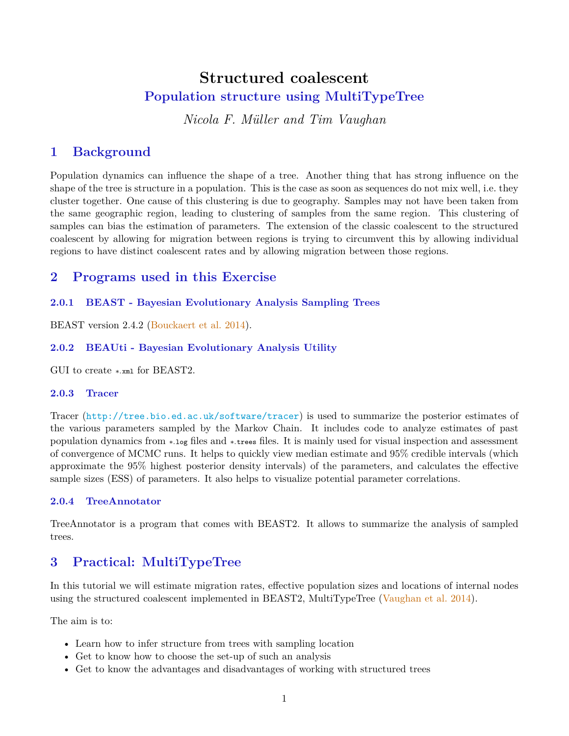# **Structured coalescent Population structure using MultiTypeTree**

*Nicola F. Müller and Tim Vaughan*

## <span id="page-0-0"></span>**1 Background**

Population dynamics can influence the shape of a tree. Another thing that has strong influence on the shape of the tree is structure in a population. This is the case as soon as sequences do not mix well, i.e. they cluster together. One cause of this clustering is due to geography. Samples may not have been taken from the same geographic region, leading to clustering of samples from the same region. This clustering of samples can bias the estimation of parameters. The extension of the classic coalescent to the structured coalescent by allowing for migration between regions is trying to circumvent this by allowing individual regions to have distinct coalescent rates and by allowing migration between those regions.

### **2 Programs used in this Exercise**

#### **2.0.1 BEAST - Bayesian Evolutionary Analysis Sampling Trees**

BEAST version 2.4.2 [\(Bouckaert et al.](#page-12-0) [2014\)](#page-12-0).

### **2.0.2 BEAUti - Bayesian Evolutionary Analysis Utility**

GUI to create ∗.xml for BEAST2.

#### **2.0.3 Tracer**

Tracer (<http://tree.bio.ed.ac.uk/software/tracer>) is used to summarize the posterior estimates of the various parameters sampled by the Markov Chain. It includes code to analyze estimates of past population dynamics from ∗.log files and ∗.trees files. It is mainly used for visual inspection and assessment of convergence of MCMC runs. It helps to quickly view median estimate and 95% credible intervals (which approximate the 95% highest posterior density intervals) of the parameters, and calculates the effective sample sizes (ESS) of parameters. It also helps to visualize potential parameter correlations.

#### **2.0.4 TreeAnnotator**

TreeAnnotator is a program that comes with BEAST2. It allows to summarize the analysis of sampled trees.

### **3 Practical: MultiTypeTree**

In this tutorial we will estimate migration rates, effective population sizes and locations of internal nodes using the structured coalescent implemented in BEAST2, MultiTypeTree [\(Vaughan et al.](#page-12-1) [2014\)](#page-12-1).

The aim is to:

- Learn how to infer structure from trees with sampling location
- Get to know how to choose the set-up of such an analysis
- Get to know the advantages and disadvantages of working with structured trees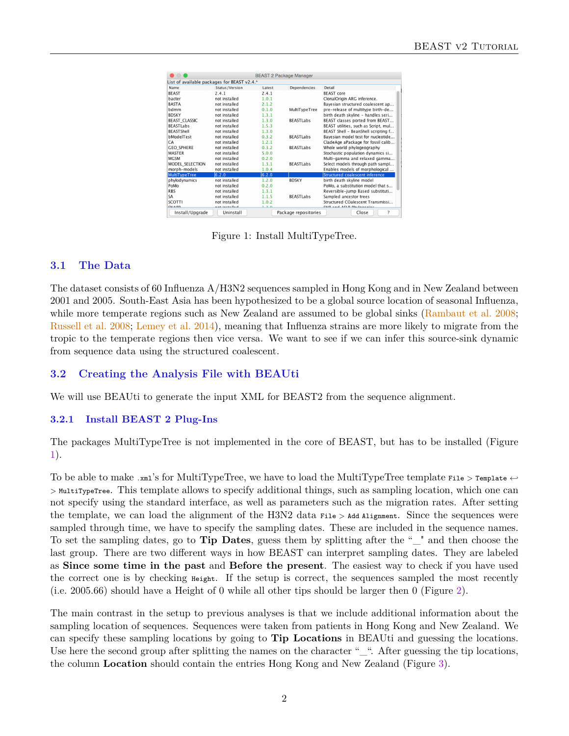| $\bigcap$                                   |                |        | <b>BEAST 2 Package Manager</b> |                                      |  |  |  |
|---------------------------------------------|----------------|--------|--------------------------------|--------------------------------------|--|--|--|
| List of available packages for BEAST v2.4.* |                |        |                                |                                      |  |  |  |
| Name                                        | Status/Version | Latest | Dependencies                   | Detail                               |  |  |  |
| <b>BFAST</b>                                | 2.4.1          | 2.4.1  |                                | <b>BFAST</b> core                    |  |  |  |
| bacter                                      | not installed  | 1.0.1  |                                | ClonalOrigin ARG inference.          |  |  |  |
| <b>BASTA</b>                                | not installed  | 2.1.2  |                                | Bayesian structured coalescent ap    |  |  |  |
| bdmm                                        | not installed  | 0.1.0  | MultiTypeTree                  | pre-release of multitype birth-de    |  |  |  |
| <b>BDSKY</b>                                | not installed  | 1.3.1  |                                | birth death skyline - handles seri   |  |  |  |
| <b>BEAST CLASSIC</b>                        | not installed  | 1.3.0  | <b>BEASTI abs</b>              | BEAST classes ported from BEAST      |  |  |  |
| <b>BEASTLabs</b>                            | not installed  | 1.5.3  |                                | BEAST utilities, such as Script, mul |  |  |  |
| <b>BFASTShell</b>                           | not installed  | 1.3.0  |                                | BEAST Shell - BeanShell scripting f  |  |  |  |
| bModelTest                                  | not installed  | 0.3.2  | <b>BEASTLabs</b>               | Bavesian model test for nucleotide   |  |  |  |
| CA                                          | not installed  | 1.2.1  |                                | CladeAge aPackage for fossil calib   |  |  |  |
| <b>GEO SPHERE</b>                           | not installed  | 0.3.2  | <b>BEASTLabs</b>               | Whole world phylogeography           |  |  |  |
| <b>MASTER</b>                               | not installed  | 5.0.0  |                                | Stochastic population dynamics si    |  |  |  |
| <b>MGSM</b>                                 | not installed  | 0.2.0  |                                | Multi-gamma and relaxed gamma        |  |  |  |
| MODEL_SELECTION                             | not installed  | 1.3.1  | <b>BEASTLabs</b>               | Select models through path sampl     |  |  |  |
| morph-models                                | not installed  | 1.0.4  |                                | Enables models of morphological      |  |  |  |
| MultiTypeTree                               | 6.2.0          | 6.2.0  |                                | Structured coalescent inference      |  |  |  |
| phylodynamics                               | not installed  | 1.2.0  | <b>BDSKY</b>                   | birth death skyline model            |  |  |  |
| PoMo                                        | not installed  | 0.2.0  |                                | PoMo, a substitution model that s    |  |  |  |
| <b>RBS</b>                                  | not installed  | 1.3.1  |                                | Reversible-jump Based substituti     |  |  |  |
| <b>SA</b>                                   | not installed  | 1.1.5  | <b>BEASTI abs</b>              | Sampled ancestor trees               |  |  |  |
| <b>SCOTTI</b>                               | not installed  | 1.0.2  |                                | Structured COalescent Transmissi     |  |  |  |
| <b>CALA DD</b>                              | nat incentiad  | 1.2A   |                                | Chin and Afin Dhulomenias            |  |  |  |
| Install/Upgrade                             | Uninstall      |        | Package repositories           | 7<br>Close                           |  |  |  |

Figure 1: Install MultiTypeTree.

#### **3.1 The Data**

The dataset consists of 60 Influenza A/H3N2 sequences sampled in Hong Kong and in New Zealand between 2001 and 2005. South-East Asia has been hypothesized to be a global source location of seasonal Influenza, while more temperate regions such as New Zealand are assumed to be global sinks [\(Rambaut et al.](#page-12-2) [2008;](#page-12-2) [Russell et al.](#page-12-3) [2008;](#page-12-3) [Lemey et al.](#page-12-4) [2014\)](#page-12-4), meaning that Influenza strains are more likely to migrate from the tropic to the temperate regions then vice versa. We want to see if we can infer this source-sink dynamic from sequence data using the structured coalescent.

#### **3.2 Creating the Analysis File with BEAUti**

We will use BEAUti to generate the input XML for BEAST2 from the sequence alignment.

#### **3.2.1 Install BEAST 2 Plug-Ins**

The packages MultiTypeTree is not implemented in the core of BEAST, but has to be installed (Figure [1\)](#page-0-0).

To be able to make .xml's for MultiTypeTree, we have to load the MultiTypeTree template File > Template ←*-* > MultiTypeTree. This template allows to specify additional things, such as sampling location, which one can not specify using the standard interface, as well as parameters such as the migration rates. After setting the template, we can load the alignment of the H3N2 data File > Add Alignment. Since the sequences were sampled through time, we have to specify the sampling dates. These are included in the sequence names. To set the sampling dates, go to **Tip Dates**, guess them by splitting after the "\_" and then choose the last group. There are two different ways in how BEAST can interpret sampling dates. They are labeled as **Since some time in the past** and **Before the present**. The easiest way to check if you have used the correct one is by checking Height. If the setup is correct, the sequences sampled the most recently (i.e. 2005.66) should have a Height of 0 while all other tips should be larger then 0 (Figure [2\)](#page-0-0).

The main contrast in the setup to previous analyses is that we include additional information about the sampling location of sequences. Sequences were taken from patients in Hong Kong and New Zealand. We can specify these sampling locations by going to **Tip Locations** in BEAUti and guessing the locations. Use here the second group after splitting the names on the character "<sub>\_"</sub>. After guessing the tip locations, the column **Location** should contain the entries Hong Kong and New Zealand (Figure [3\)](#page-0-0).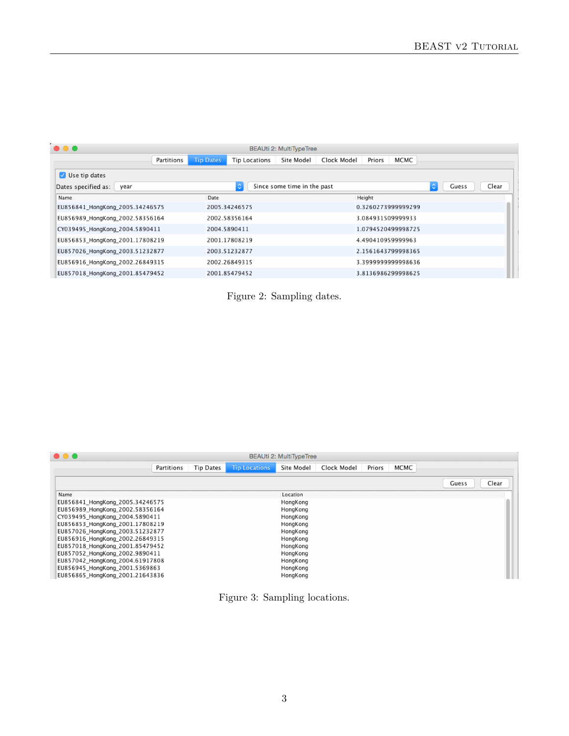| $\bullet\bullet\bullet$<br>BEAUti 2: MultiTypeTree |            |                    |               |                             |             |        |                    |   |       |       |
|----------------------------------------------------|------------|--------------------|---------------|-----------------------------|-------------|--------|--------------------|---|-------|-------|
|                                                    | Partitions | <b>Tip Dates</b>   | Tip Locations | Site Model                  | Clock Model | Priors | MCMC               |   |       |       |
| Use tip dates                                      |            |                    |               |                             |             |        |                    |   |       |       |
| Dates specified as:<br>year                        |            | $\hat{\mathbb{C}}$ |               | Since some time in the past |             |        |                    | ٥ | Guess | Clear |
| Name                                               |            | Date               |               |                             |             | Height |                    |   |       |       |
| EU856841 HongKong 2005.34246575                    |            | 2005.34246575      |               |                             |             |        | 0.3260273999999299 |   |       |       |
| EU856989_HongKong_2002.58356164                    |            | 2002.58356164      |               |                             |             |        | 3.084931509999933  |   |       |       |
| CY039495_HongKong_2004.5890411                     |            | 2004.5890411       |               |                             |             |        | 1.0794520499998725 |   |       |       |
| EU856853_HongKong_2001.17808219                    |            | 2001.17808219      |               |                             |             |        | 4.490410959999963  |   |       |       |
| EU857026 HongKong 2003.51232877                    |            | 2003.51232877      |               |                             |             |        | 2.1561643799998365 |   |       |       |
| EU856916 HongKong 2002.26849315                    |            | 2002.26849315      |               |                             |             |        | 3.399999999998636  |   |       |       |
| EU857018_HongKong_2001.85479452                    |            | 2001.85479452      |               |                             |             |        | 3.8136986299998625 |   |       |       |

Figure 2: Sampling dates.

| $\bullet\bullet\bullet$         |            |                  |                      | <b>BEAUti 2: MultiTypeTree</b> |             |        |      |       |       |
|---------------------------------|------------|------------------|----------------------|--------------------------------|-------------|--------|------|-------|-------|
|                                 | Partitions | <b>Tip Dates</b> | <b>Tip Locations</b> | Site Model                     | Clock Model | Priors | MCMC |       |       |
|                                 |            |                  |                      |                                |             |        |      | Guess | Clear |
| Name                            |            |                  |                      | Location                       |             |        |      |       |       |
| EU856841 HongKong 2005.34246575 |            |                  |                      | HongKong                       |             |        |      |       |       |
| EU856989 HongKong 2002.58356164 |            |                  |                      | HongKong                       |             |        |      |       |       |
| CY039495 HongKong 2004.5890411  |            |                  |                      | HongKong                       |             |        |      |       |       |
| EU856853 HongKong 2001.17808219 |            |                  |                      | HongKong                       |             |        |      |       |       |
| EU857026 HongKong 2003.51232877 |            |                  |                      | HongKong                       |             |        |      |       |       |
| EU856916 HongKong 2002.26849315 |            |                  |                      | HongKong                       |             |        |      |       |       |
| EU857018_HongKong_2001.85479452 |            |                  |                      | HongKong                       |             |        |      |       |       |
| EU857052 HongKong 2002.9890411  |            |                  |                      | HongKong                       |             |        |      |       |       |
| EU857042 HongKong 2004.61917808 |            |                  |                      | HongKong                       |             |        |      |       |       |
| EU856945 HongKong 2001.5369863  |            |                  |                      | HongKong                       |             |        |      |       |       |
| EU856865 HongKong 2001.21643836 |            |                  |                      | HongKong                       |             |        |      |       |       |

Figure 3: Sampling locations.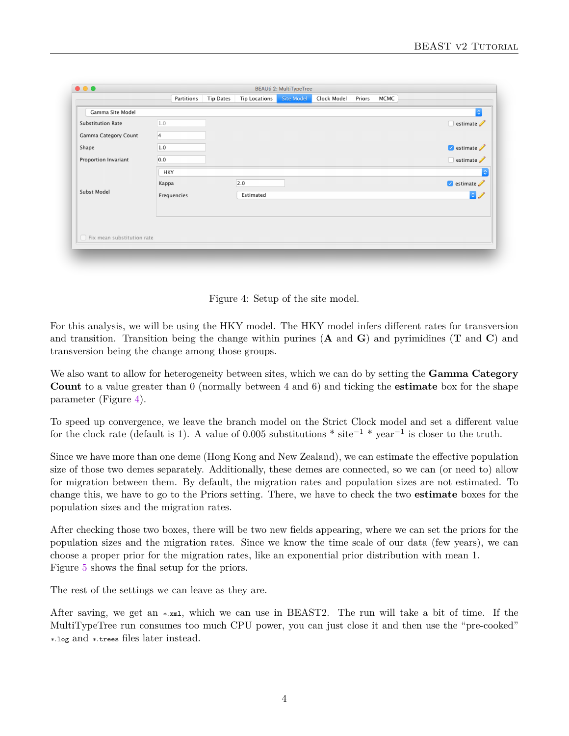|                                   | Partitions     | <b>Tip Dates</b> | <b>Tip Locations</b> | Site Model | Clock Model | Priors | <b>MCMC</b> |                                                      |
|-----------------------------------|----------------|------------------|----------------------|------------|-------------|--------|-------------|------------------------------------------------------|
|                                   |                |                  |                      |            |             |        |             |                                                      |
| Gamma Site Model                  |                |                  |                      |            |             |        |             | õ                                                    |
| <b>Substitution Rate</b>          | 1.0            |                  |                      |            |             |        |             | $\Box$ estimate                                      |
| Gamma Category Count              | $\overline{4}$ |                  |                      |            |             |        |             |                                                      |
| Shape                             | 1.0            |                  |                      |            |             |        |             | $\blacktriangleright$ estimate $\blacktriangleright$ |
| Proportion Invariant              | 0.0            |                  |                      |            |             |        |             | $\Box$ estimate                                      |
|                                   | <b>HKY</b>     |                  |                      |            |             |        |             | $ \hat{\phi} $                                       |
|                                   | Kappa          |                  | 2.0                  |            |             |        |             | $\bullet$ estimate $\mathscr{D}$                     |
| Subst Model                       | Frequencies    |                  | Estimated            |            |             |        |             | $\bullet$                                            |
|                                   |                |                  |                      |            |             |        |             |                                                      |
|                                   |                |                  |                      |            |             |        |             |                                                      |
|                                   |                |                  |                      |            |             |        |             |                                                      |
| $\Box$ Fix mean substitution rate |                |                  |                      |            |             |        |             |                                                      |
|                                   |                |                  |                      |            |             |        |             |                                                      |

Figure 4: Setup of the site model.

For this analysis, we will be using the HKY model. The HKY model infers different rates for transversion and transition. Transition being the change within purines (**A** and **G**) and pyrimidines (**T** and **C**) and transversion being the change among those groups.

We also want to allow for heterogeneity between sites, which we can do by setting the **Gamma Category Count** to a value greater than 0 (normally between 4 and 6) and ticking the **estimate** box for the shape parameter (Figure [4\)](#page-0-0).

To speed up convergence, we leave the branch model on the Strict Clock model and set a different value for the clock rate (default is 1). A value of 0.005 substitutions  $*$  site<sup>-1</sup>  $*$  year<sup>-1</sup> is closer to the truth.

Since we have more than one deme (Hong Kong and New Zealand), we can estimate the effective population size of those two demes separately. Additionally, these demes are connected, so we can (or need to) allow for migration between them. By default, the migration rates and population sizes are not estimated. To change this, we have to go to the Priors setting. There, we have to check the two **estimate** boxes for the population sizes and the migration rates.

After checking those two boxes, there will be two new fields appearing, where we can set the priors for the population sizes and the migration rates. Since we know the time scale of our data (few years), we can choose a proper prior for the migration rates, like an exponential prior distribution with mean 1. Figure [5](#page-0-0) shows the final setup for the priors.

The rest of the settings we can leave as they are.

After saving, we get an ∗.xml, which we can use in BEAST2. The run will take a bit of time. If the MultiTypeTree run consumes too much CPU power, you can just close it and then use the "pre-cooked" ∗.log and ∗.trees files later instead.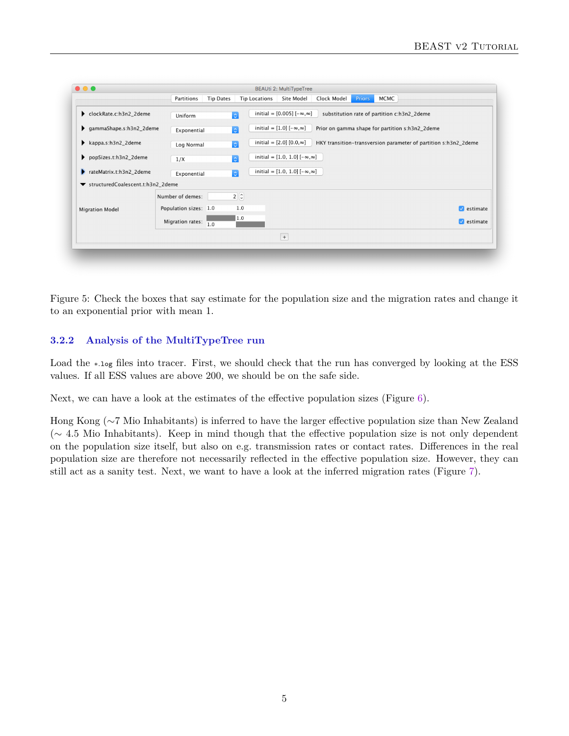| $\bullet\bullet\bullet$             |                       |                  |                      | <b>BEAUti 2: MultiTypeTree</b>             |                                             |               |             |                                                 |                                                                 |
|-------------------------------------|-----------------------|------------------|----------------------|--------------------------------------------|---------------------------------------------|---------------|-------------|-------------------------------------------------|-----------------------------------------------------------------|
|                                     | Partitions            | <b>Tip Dates</b> | <b>Tip Locations</b> | Site Model                                 | Clock Model                                 | <b>Priors</b> | <b>MCMC</b> |                                                 |                                                                 |
| clockRate.c:h3n2 2deme              | Uniform               | $\ddot{\circ}$   |                      | initial = $[0.005]$ $[-\infty, \infty]$    | substitution rate of partition c:h3n2_2deme |               |             |                                                 |                                                                 |
| gammaShape.s:h3n2_2deme             | Exponential           | l ci             |                      | initial = $[1.0]$ $[-\infty, \infty]$      |                                             |               |             | Prior on gamma shape for partition s:h3n2_2deme |                                                                 |
| kappa.s:h3n2_2deme                  | Log Normal            | <b>ic</b>        |                      | initial = $[2.0]$ $[0.0, \infty]$          |                                             |               |             |                                                 | HKY transition-transversion parameter of partition s:h3n2_2deme |
| popSizes.t:h3n2_2deme               | 1/X                   | $ \circ $        |                      | initial = $[1.0, 1.0]$ $[-\infty, \infty]$ |                                             |               |             |                                                 |                                                                 |
| Þ<br>rateMatrix.t:h3n2_2deme        | Exponential           | l c              |                      | initial = $[1.0, 1.0]$ $[-\infty, \infty]$ |                                             |               |             |                                                 |                                                                 |
| ▼ structuredCoalescent.t:h3n2_2deme |                       |                  |                      |                                            |                                             |               |             |                                                 |                                                                 |
|                                     | Number of demes:      | $2\degree$       |                      |                                            |                                             |               |             |                                                 |                                                                 |
| Migration Model                     | Population sizes: 1.0 |                  | 1.0                  |                                            |                                             |               |             |                                                 | $\sqrt{\phantom{a}}$ estimate                                   |
|                                     | Migration rates:      | 1.0              | 1.0                  |                                            |                                             |               |             |                                                 | $\sqrt{\phantom{a}}$ estimate                                   |
|                                     |                       |                  |                      | $\,$ + $\,$                                |                                             |               |             |                                                 |                                                                 |
|                                     |                       |                  |                      |                                            |                                             |               |             |                                                 |                                                                 |

Figure 5: Check the boxes that say estimate for the population size and the migration rates and change it to an exponential prior with mean 1.

#### **3.2.2 Analysis of the MultiTypeTree run**

Load the ∗.log files into tracer. First, we should check that the run has converged by looking at the ESS values. If all ESS values are above 200, we should be on the safe side.

Next, we can have a look at the estimates of the effective population sizes (Figure [6\)](#page-0-0).

Hong Kong (∼7 Mio Inhabitants) is inferred to have the larger effective population size than New Zealand (∼ 4.5 Mio Inhabitants). Keep in mind though that the effective population size is not only dependent on the population size itself, but also on e.g. transmission rates or contact rates. Differences in the real population size are therefore not necessarily reflected in the effective population size. However, they can still act as a sanity test. Next, we want to have a look at the inferred migration rates (Figure [7\)](#page-0-0).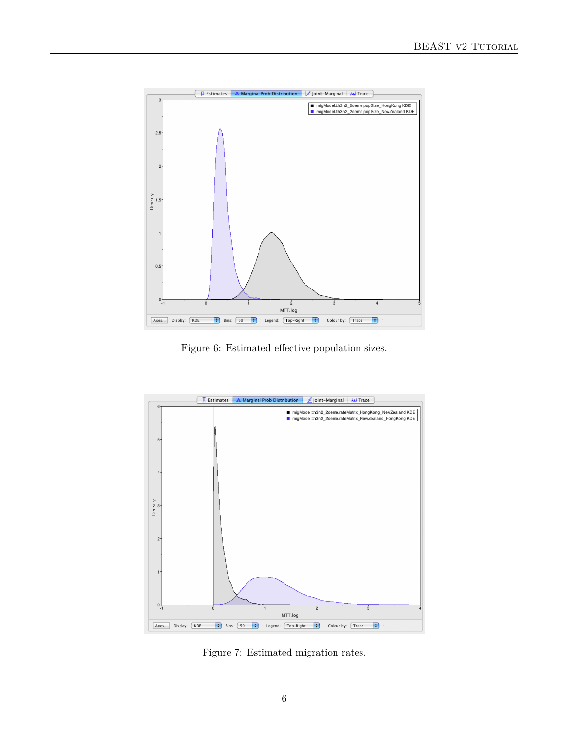

Figure 6: Estimated effective population sizes.



Figure 7: Estimated migration rates.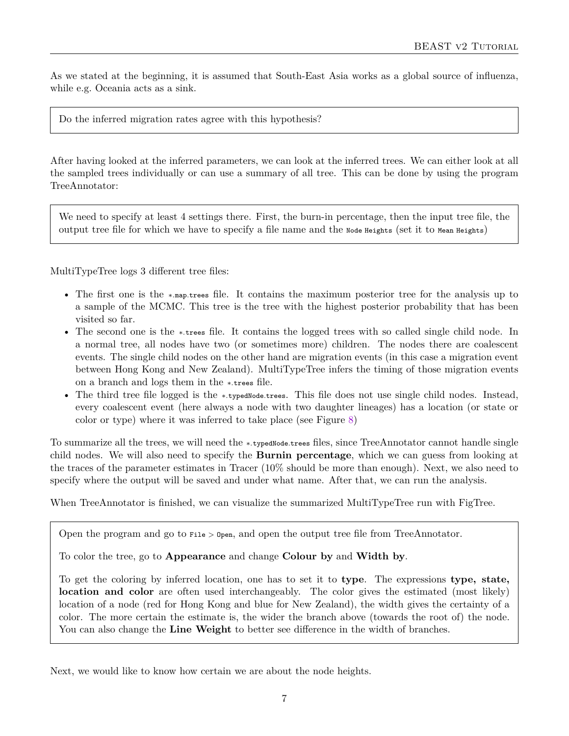As we stated at the beginning, it is assumed that South-East Asia works as a global source of influenza, while e.g. Oceania acts as a sink.

Do the inferred migration rates agree with this hypothesis?

After having looked at the inferred parameters, we can look at the inferred trees. We can either look at all the sampled trees individually or can use a summary of all tree. This can be done by using the program TreeAnnotator:

We need to specify at least 4 settings there. First, the burn-in percentage, then the input tree file, the output tree file for which we have to specify a file name and the Node Heights (set it to Mean Heights)

MultiTypeTree logs 3 different tree files:

- The first one is the ∗.map.trees file. It contains the maximum posterior tree for the analysis up to a sample of the MCMC. This tree is the tree with the highest posterior probability that has been visited so far.
- The second one is the ∗.trees file. It contains the logged trees with so called single child node. In a normal tree, all nodes have two (or sometimes more) children. The nodes there are coalescent events. The single child nodes on the other hand are migration events (in this case a migration event between Hong Kong and New Zealand). MultiTypeTree infers the timing of those migration events on a branch and logs them in the ∗.trees file.
- The third tree file logged is the ∗.typedNode.trees. This file does not use single child nodes. Instead, every coalescent event (here always a node with two daughter lineages) has a location (or state or color or type) where it was inferred to take place (see Figure [8\)](#page-0-0)

To summarize all the trees, we will need the ∗.typedNode.trees files, since TreeAnnotator cannot handle single child nodes. We will also need to specify the **Burnin percentage**, which we can guess from looking at the traces of the parameter estimates in Tracer (10% should be more than enough). Next, we also need to specify where the output will be saved and under what name. After that, we can run the analysis.

When TreeAnnotator is finished, we can visualize the summarized MultiTypeTree run with FigTree.

Open the program and go to  $_{\text{File}}$  >  $_{\text{Open}}$ , and open the output tree file from TreeAnnotator.

To color the tree, go to **Appearance** and change **Colour by** and **Width by**.

To get the coloring by inferred location, one has to set it to **type**. The expressions **type, state, location and color** are often used interchangeably. The color gives the estimated (most likely) location of a node (red for Hong Kong and blue for New Zealand), the width gives the certainty of a color. The more certain the estimate is, the wider the branch above (towards the root of) the node. You can also change the **Line Weight** to better see difference in the width of branches.

Next, we would like to know how certain we are about the node heights.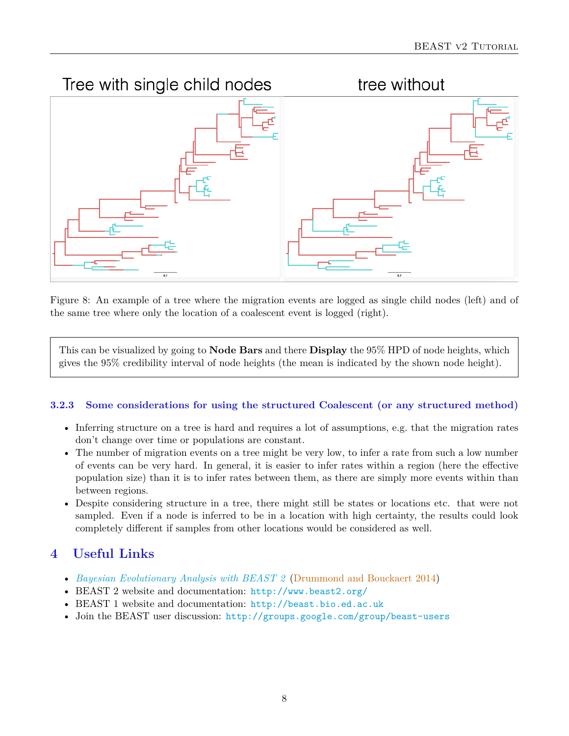

Figure 8: An example of a tree where the migration events are logged as single child nodes (left) and of the same tree where only the location of a coalescent event is logged (right).

This can be visualized by going to **Node Bars** and there **Display** the 95% HPD of node heights, which gives the 95% credibility interval of node heights (the mean is indicated by the shown node height).

#### **3.2.3 Some considerations for using the structured Coalescent (or any structured method)**

- Inferring structure on a tree is hard and requires a lot of assumptions, e.g. that the migration rates don't change over time or populations are constant.
- The number of migration events on a tree might be very low, to infer a rate from such a low number of events can be very hard. In general, it is easier to infer rates within a region (here the effective population size) than it is to infer rates between them, as there are simply more events within than between regions.
- Despite considering structure in a tree, there might still be states or locations etc. that were not sampled. Even if a node is inferred to be in a location with high certainty, the results could look completely different if samples from other locations would be considered as well.

# **4 Useful Links**

- *[Bayesian Evolutionary Analysis with BEAST 2](http://www.beast2.org/book.html)* [\(Drummond and Bouckaert](#page-12-5) [2014\)](#page-12-5)
- BEAST 2 website and documentation: <http://www.beast2.org/>
- BEAST 1 website and documentation: <http://beast.bio.ed.ac.uk>
- Join the BEAST user discussion: <http://groups.google.com/group/beast-users>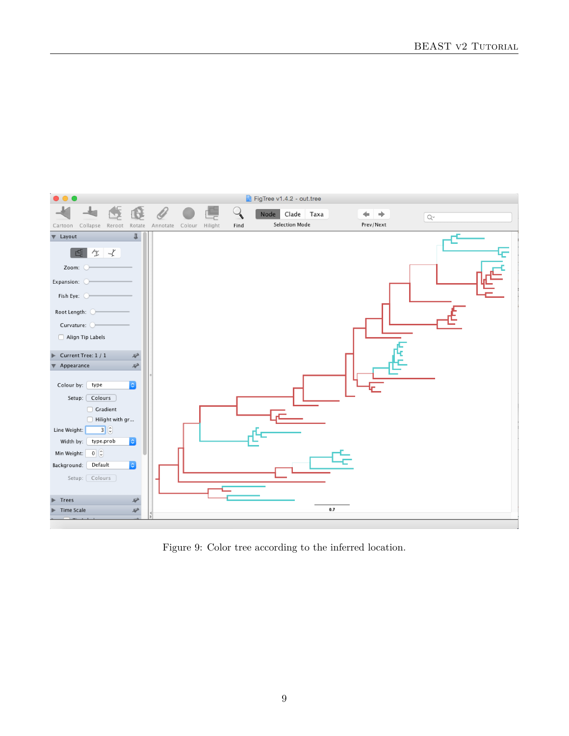

Figure 9: Color tree according to the inferred location.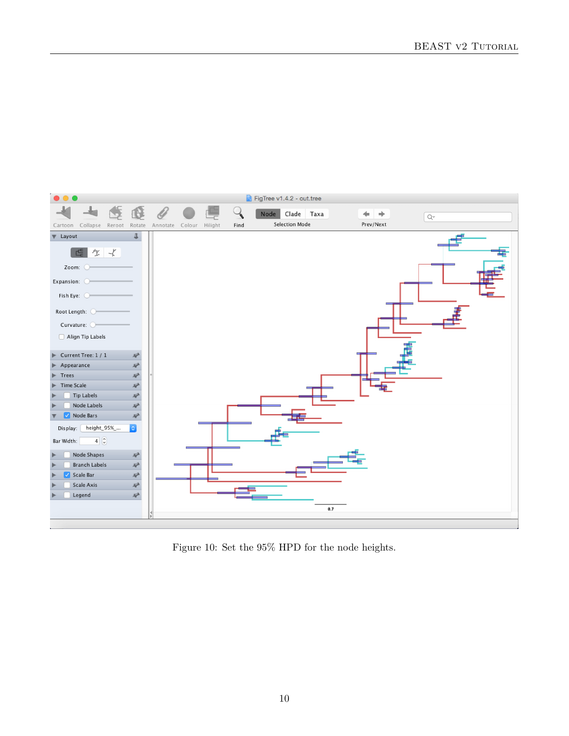

Figure 10: Set the 95% HPD for the node heights.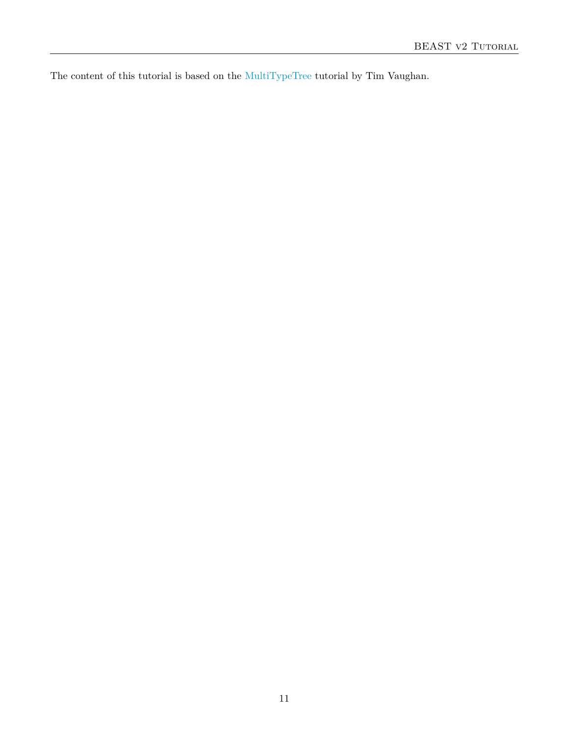The content of this tutorial is based on the [MultiTypeTree](https://github.com/CompEvol/MultiTypeTree/wiki/Beginner) tutorial by Tim Vaughan.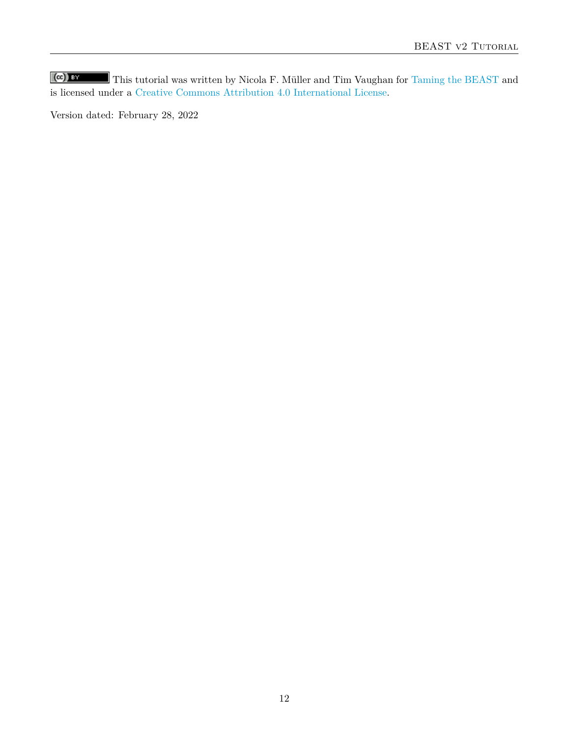$\left(\mathrm{cc}\right)$  BY This tutorial was written by Nicola F. Müller and Tim Vaughan for [Taming the BEAST](https://taming-the-beast.github.io) and is licensed under a [Creative Commons Attribution 4.0 International License.](http://creativecommons.org/licenses/by/4.0/)

Version dated: February 28, 2022